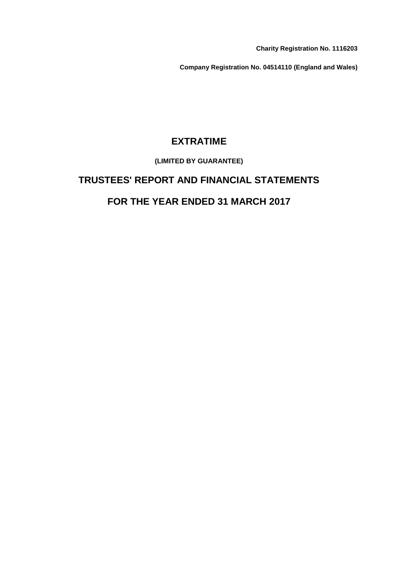**Charity Registration No. 1116203**

**Company Registration No. 04514110 (England and Wales)**

# **EXTRATIME**

**(LIMITED BY GUARANTEE)**

# **TRUSTEES' REPORT AND FINANCIAL STATEMENTS**

# **FOR THE YEAR ENDED 31 MARCH 2017**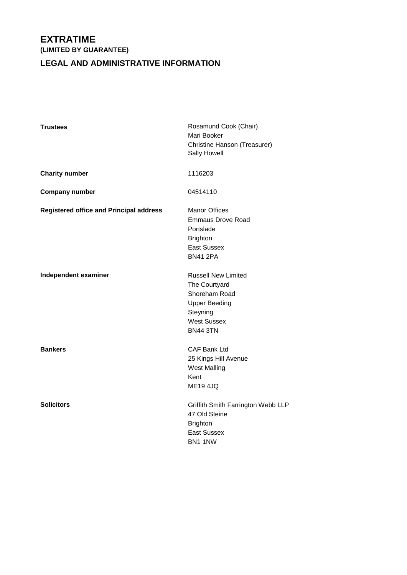**(LIMITED BY GUARANTEE)**

# **LEGAL AND ADMINISTRATIVE INFORMATION**

| <b>Trustees</b>                                | Rosamund Cook (Chair)<br>Mari Booker<br>Christine Hanson (Treasurer)<br>Sally Howell                                                      |
|------------------------------------------------|-------------------------------------------------------------------------------------------------------------------------------------------|
| <b>Charity number</b>                          | 1116203                                                                                                                                   |
| <b>Company number</b>                          | 04514110                                                                                                                                  |
| <b>Registered office and Principal address</b> | <b>Manor Offices</b><br>Emmaus Drove Road<br>Portslade<br><b>Brighton</b><br><b>East Sussex</b><br><b>BN41 2PA</b>                        |
| Independent examiner                           | <b>Russell New Limited</b><br>The Courtyard<br>Shoreham Road<br><b>Upper Beeding</b><br>Steyning<br><b>West Sussex</b><br><b>BN44 3TN</b> |
| <b>Bankers</b>                                 | CAF Bank Ltd<br>25 Kings Hill Avenue<br><b>West Malling</b><br>Kent<br><b>ME194JQ</b>                                                     |
| <b>Solicitors</b>                              | Griffith Smith Farrington Webb LLP<br>47 Old Steine<br><b>Brighton</b><br><b>East Sussex</b><br>BN1 1NW                                   |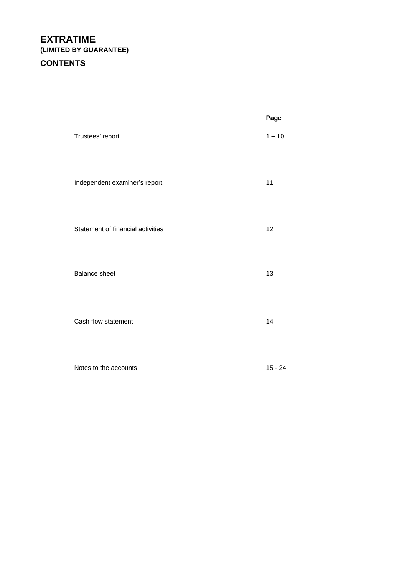# **EXTRATIME (LIMITED BY GUARANTEE)**

# **CONTENTS**

|                                   | Page      |
|-----------------------------------|-----------|
| Trustees' report                  | $1 - 10$  |
| Independent examiner's report     | 11        |
| Statement of financial activities | 12        |
| <b>Balance sheet</b>              | 13        |
| Cash flow statement               | 14        |
| Notes to the accounts             | $15 - 24$ |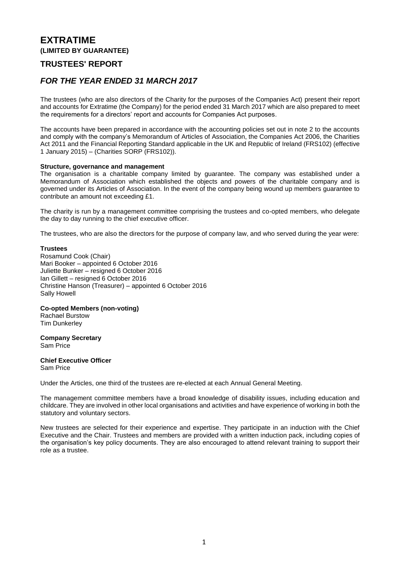# **EXTRATIME (LIMITED BY GUARANTEE)**

### **TRUSTEES' REPORT**

### *FOR THE YEAR ENDED 31 MARCH 2017*

The trustees (who are also directors of the Charity for the purposes of the Companies Act) present their report and accounts for Extratime (the Company) for the period ended 31 March 2017 which are also prepared to meet the requirements for a directors' report and accounts for Companies Act purposes.

The accounts have been prepared in accordance with the accounting policies set out in note 2 to the accounts and comply with the company's Memorandum of Articles of Association, the Companies Act 2006, the Charities Act 2011 and the Financial Reporting Standard applicable in the UK and Republic of Ireland (FRS102) (effective 1 January 2015) – (Charities SORP (FRS102)).

#### **Structure, governance and management**

The organisation is a charitable company limited by guarantee. The company was established under a Memorandum of Association which established the objects and powers of the charitable company and is governed under its Articles of Association. In the event of the company being wound up members guarantee to contribute an amount not exceeding £1.

The charity is run by a management committee comprising the trustees and co-opted members, who delegate the day to day running to the chief executive officer.

The trustees, who are also the directors for the purpose of company law, and who served during the year were:

#### **Trustees**

Rosamund Cook (Chair) Mari Booker – appointed 6 October 2016 Juliette Bunker – resigned 6 October 2016 Ian Gillett – resigned 6 October 2016 Christine Hanson (Treasurer) – appointed 6 October 2016 Sally Howell

### **Co-opted Members (non-voting)**

Rachael Burstow Tim Dunkerley

**Company Secretary** Sam Price

#### **Chief Executive Officer**

Sam Price

Under the Articles, one third of the trustees are re-elected at each Annual General Meeting.

The management committee members have a broad knowledge of disability issues, including education and childcare. They are involved in other local organisations and activities and have experience of working in both the statutory and voluntary sectors.

New trustees are selected for their experience and expertise. They participate in an induction with the Chief Executive and the Chair. Trustees and members are provided with a written induction pack, including copies of the organisation's key policy documents. They are also encouraged to attend relevant training to support their role as a trustee.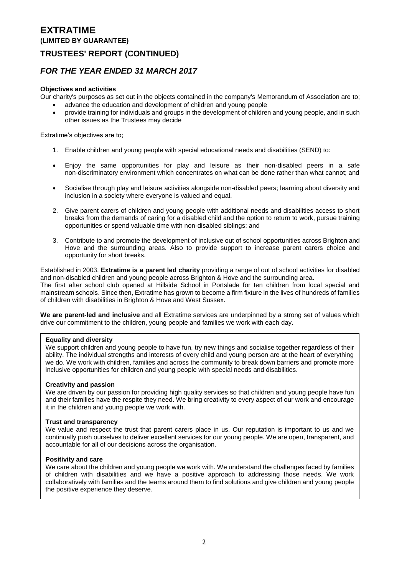### **(LIMITED BY GUARANTEE)**

### **TRUSTEES' REPORT (CONTINUED)**

### *FOR THE YEAR ENDED 31 MARCH 2017*

#### **Objectives and activities**

Our charity's purposes as set out in the objects contained in the company's Memorandum of Association are to;

- advance the education and development of children and young people
- provide training for individuals and groups in the development of children and young people, and in such other issues as the Trustees may decide

Extratime's objectives are to;

- 1. Enable children and young people with special educational needs and disabilities (SEND) to:
- Enjoy the same opportunities for play and leisure as their non-disabled peers in a safe non-discriminatory environment which concentrates on what can be done rather than what cannot; and
- Socialise through play and leisure activities alongside non-disabled peers; learning about diversity and inclusion in a society where everyone is valued and equal.
- 2. Give parent carers of children and young people with additional needs and disabilities access to short breaks from the demands of caring for a disabled child and the option to return to work, pursue training opportunities or spend valuable time with non-disabled siblings; and
- 3. Contribute to and promote the development of inclusive out of school opportunities across Brighton and Hove and the surrounding areas. Also to provide support to increase parent carers choice and opportunity for short breaks.

Established in 2003, **Extratime is a parent led charity** providing a range of out of school activities for disabled and non-disabled children and young people across Brighton & Hove and the surrounding area. The first after school club opened at Hillside School in Portslade for ten children from local special and mainstream schools. Since then, Extratime has grown to become a firm fixture in the lives of hundreds of families of children with disabilities in Brighton & Hove and West Sussex.

**We are parent-led and inclusive** and all Extratime services are underpinned by a strong set of values which drive our commitment to the children, young people and families we work with each day.

#### **Equality and diversity**

We support children and young people to have fun, try new things and socialise together regardless of their ability. The individual strengths and interests of every child and young person are at the heart of everything we do. We work with children, families and across the community to break down barriers and promote more inclusive opportunities for children and young people with special needs and disabilities.

#### **Creativity and passion**

We are driven by our passion for providing high quality services so that children and young people have fun and their families have the respite they need. We bring creativity to every aspect of our work and encourage it in the children and young people we work with.

#### **Trust and transparency**

We value and respect the trust that parent carers place in us. Our reputation is important to us and we continually push ourselves to deliver excellent services for our young people. We are open, transparent, and accountable for all of our decisions across the organisation.

#### **Positivity and care**

We care about the children and young people we work with. We understand the challenges faced by families of children with disabilities and we have a positive approach to addressing those needs. We work collaboratively with families and the teams around them to find solutions and give children and young people the positive experience they deserve.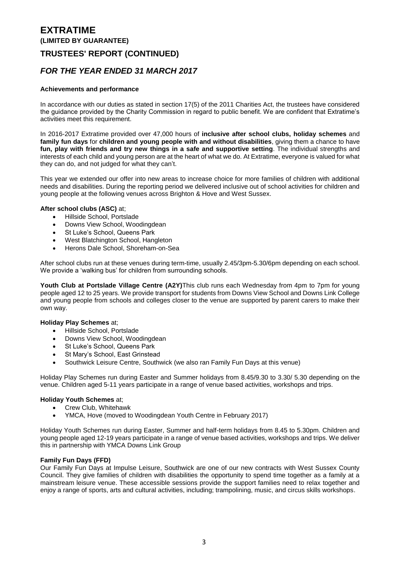### **(LIMITED BY GUARANTEE)**

### **TRUSTEES' REPORT (CONTINUED)**

### *FOR THE YEAR ENDED 31 MARCH 2017*

#### **Achievements and performance**

In accordance with our duties as stated in section 17(5) of the 2011 Charities Act, the trustees have considered the guidance provided by the Charity Commission in regard to public benefit. We are confident that Extratime's activities meet this requirement.

In 2016-2017 Extratime provided over 47,000 hours of **inclusive after school clubs, holiday schemes** and **family fun days** for **children and young people with and without disabilities**, giving them a chance to have **fun, play with friends and try new things in a safe and supportive setting**. The individual strengths and interests of each child and young person are at the heart of what we do. At Extratime, everyone is valued for what they can do, and not judged for what they can't.

This year we extended our offer into new areas to increase choice for more families of children with additional needs and disabilities. During the reporting period we delivered inclusive out of school activities for children and young people at the following venues across Brighton & Hove and West Sussex.

#### **After school clubs (ASC)** at;

- Hillside School, Portslade
- Downs View School, Woodingdean
- St Luke's School, Queens Park
- West Blatchington School, Hangleton
- Herons Dale School, Shoreham-on-Sea

After school clubs run at these venues during term-time, usually 2.45/3pm-5.30/6pm depending on each school. We provide a 'walking bus' for children from surrounding schools.

**Youth Club at Portslade Village Centre (A2Y)**This club runs each Wednesday from 4pm to 7pm for young people aged 12 to 25 years. We provide transport for students from Downs View School and Downs Link College and young people from schools and colleges closer to the venue are supported by parent carers to make their own way.

#### **Holiday Play Schemes** at;

- Hillside School, Portslade
- Downs View School, Woodingdean
- St Luke's School, Queens Park
- St Mary's School, East Grinstead
- Southwick Leisure Centre, Southwick (we also ran Family Fun Days at this venue)

Holiday Play Schemes run during Easter and Summer holidays from 8.45/9.30 to 3.30/ 5.30 depending on the venue. Children aged 5-11 years participate in a range of venue based activities, workshops and trips.

### **Holiday Youth Schemes** at;

- Crew Club, Whitehawk
- YMCA, Hove (moved to Woodingdean Youth Centre in February 2017)

Holiday Youth Schemes run during Easter, Summer and half-term holidays from 8.45 to 5.30pm. Children and young people aged 12-19 years participate in a range of venue based activities, workshops and trips. We deliver this in partnership with YMCA Downs Link Group

#### **Family Fun Days (FFD)**

Our Family Fun Days at Impulse Leisure, Southwick are one of our new contracts with West Sussex County Council. They give families of children with disabilities the opportunity to spend time together as a family at a mainstream leisure venue. These accessible sessions provide the support families need to relax together and enjoy a range of sports, arts and cultural activities, including; trampolining, music, and circus skills workshops.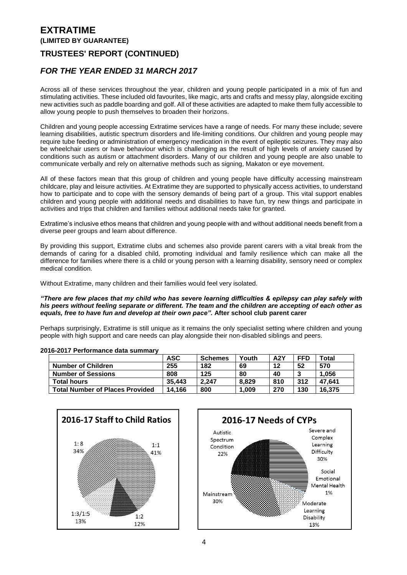### **(LIMITED BY GUARANTEE)**

### **TRUSTEES' REPORT (CONTINUED)**

### *FOR THE YEAR ENDED 31 MARCH 2017*

Across all of these services throughout the year, children and young people participated in a mix of fun and stimulating activities. These included old favourites, like magic, arts and crafts and messy play, alongside exciting new activities such as paddle boarding and golf. All of these activities are adapted to make them fully accessible to allow young people to push themselves to broaden their horizons.

Children and young people accessing Extratime services have a range of needs. For many these include; severe learning disabilities, autistic spectrum disorders and life-limiting conditions. Our children and young people may require tube feeding or administration of emergency medication in the event of epileptic seizures. They may also be wheelchair users or have behaviour which is challenging as the result of high levels of anxiety caused by conditions such as autism or attachment disorders. Many of our children and young people are also unable to communicate verbally and rely on alternative methods such as signing, Makaton or eye movement.

All of these factors mean that this group of children and young people have difficulty accessing mainstream childcare, play and leisure activities. At Extratime they are supported to physically access activities, to understand how to participate and to cope with the sensory demands of being part of a group. This vital support enables children and young people with additional needs and disabilities to have fun, try new things and participate in activities and trips that children and families without additional needs take for granted.

Extratime's inclusive ethos means that children and young people with and without additional needs benefit from a diverse peer groups and learn about difference.

By providing this support, Extratime clubs and schemes also provide parent carers with a vital break from the demands of caring for a disabled child, promoting individual and family resilience which can make all the difference for families where there is a child or young person with a learning disability, sensory need or complex medical condition.

Without Extratime, many children and their families would feel very isolated.

#### *"There are few places that my child who has severe learning difficulties & epilepsy can play safely with his peers without feeling separate or different. The team and the children are accepting of each other as equals, free to have fun and develop at their own pace".* **After school club parent carer**

Perhaps surprisingly, Extratime is still unique as it remains the only specialist setting where children and young people with high support and care needs can play alongside their non-disabled siblings and peers.

|                                        | <b>ASC</b> | <b>Schemes</b> | Youth | A2Y | <b>FFD</b> | Total  |
|----------------------------------------|------------|----------------|-------|-----|------------|--------|
| <b>Number of Children</b>              | 255        | 182            | 69    | 12  | 52         | 570    |
| <b>Number of Sessions</b>              | 808        | 125            | 80    | 40  |            | 1.056  |
| <b>Total hours</b>                     | 35.443     | 2.247          | 8.829 | 810 | 312        | 47.641 |
| <b>Total Number of Places Provided</b> | 14.166     | 800            | 1.009 | 270 | 130        | 16.375 |

#### **2016-2017 Performance data summary**



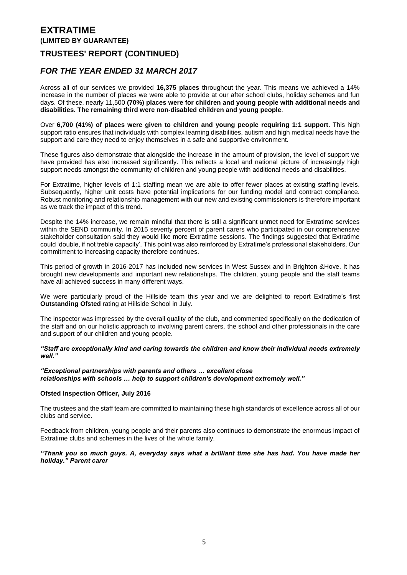### **(LIMITED BY GUARANTEE)**

### **TRUSTEES' REPORT (CONTINUED)**

### *FOR THE YEAR ENDED 31 MARCH 2017*

Across all of our services we provided **16,375 places** throughout the year. This means we achieved a 14% increase in the number of places we were able to provide at our after school clubs, holiday schemes and fun days. Of these, nearly 11,500 **(70%) places were for children and young people with additional needs and disabilities. The remaining third were non-disabled children and young people**.

Over **6,700 (41%) of places were given to children and young people requiring 1:1 support**. This high support ratio ensures that individuals with complex learning disabilities, autism and high medical needs have the support and care they need to enjoy themselves in a safe and supportive environment.

These figures also demonstrate that alongside the increase in the amount of provision, the level of support we have provided has also increased significantly. This reflects a local and national picture of increasingly high support needs amongst the community of children and young people with additional needs and disabilities.

For Extratime, higher levels of 1:1 staffing mean we are able to offer fewer places at existing staffing levels. Subsequently, higher unit costs have potential implications for our funding model and contract compliance. Robust monitoring and relationship management with our new and existing commissioners is therefore important as we track the impact of this trend.

Despite the 14% increase, we remain mindful that there is still a significant unmet need for Extratime services within the SEND community. In 2015 seventy percent of parent carers who participated in our comprehensive stakeholder consultation said they would like more Extratime sessions. The findings suggested that Extratime could 'double, if not treble capacity'. This point was also reinforced by Extratime's professional stakeholders. Our commitment to increasing capacity therefore continues.

This period of growth in 2016-2017 has included new services in West Sussex and in Brighton &Hove. It has brought new developments and important new relationships. The children, young people and the staff teams have all achieved success in many different ways.

We were particularly proud of the Hillside team this year and we are delighted to report Extratime's first **Outstanding Ofsted** rating at Hillside School in July.

The inspector was impressed by the overall quality of the club, and commented specifically on the dedication of the staff and on our holistic approach to involving parent carers, the school and other professionals in the care and support of our children and young people.

*"Staff are exceptionally kind and caring towards the children and know their individual needs extremely well."*

### *"Exceptional partnerships with parents and others … excellent close relationships with schools … help to support children's development extremely well."*

#### **Ofsted Inspection Officer, July 2016**

The trustees and the staff team are committed to maintaining these high standards of excellence across all of our clubs and service.

Feedback from children, young people and their parents also continues to demonstrate the enormous impact of Extratime clubs and schemes in the lives of the whole family.

*"Thank you so much guys. A, everyday says what a brilliant time she has had. You have made her holiday." Parent carer*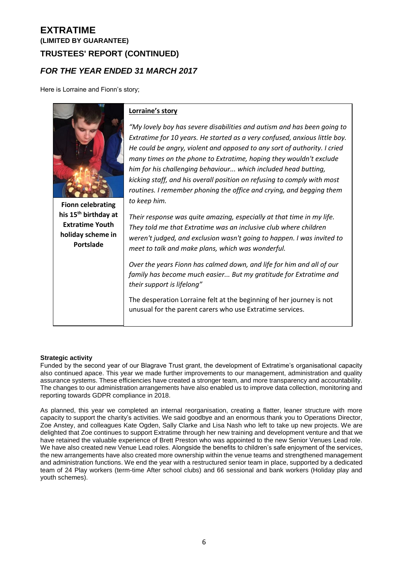### **EXTRATIME (LIMITED BY GUARANTEE)**

### **TRUSTEES' REPORT (CONTINUED)**

### *FOR THE YEAR ENDED 31 MARCH 2017*

Here is Lorraine and Fionn's story;



**Lorraine's story**

*"My lovely boy has severe disabilities and autism and has been going to Extratime for 10 years. He started as a very confused, anxious little boy. He could be angry, violent and opposed to any sort of authority. I cried many times on the phone to Extratime, hoping they wouldn't exclude him for his challenging behaviour... which included head butting, kicking staff, and his overall position on refusing to comply with most routines. I remember phoning the office and crying, and begging them to keep him.*

**Fionn celebrating his 15th birthday at Extratime Youth holiday scheme in Portslade**

*Their response was quite amazing, especially at that time in my life. They told me that Extratime was an inclusive club where children weren't judged, and exclusion wasn't going to happen. I was invited to meet to talk and make plans, which was wonderful.* 

*Over the years Fionn has calmed down, and life for him and all of our family has become much easier... But my gratitude for Extratime and their support is lifelong"*

The desperation Lorraine felt at the beginning of her journey is not unusual for the parent carers who use Extratime services.

### **Strategic activity**

Funded by the second year of our Blagrave Trust grant, the development of Extratime's organisational capacity also continued apace. This year we made further improvements to our management, administration and quality assurance systems. These efficiencies have created a stronger team, and more transparency and accountability. The changes to our administration arrangements have also enabled us to improve data collection, monitoring and reporting towards GDPR compliance in 2018.

As planned, this year we completed an internal reorganisation, creating a flatter, leaner structure with more capacity to support the charity's activities. We said goodbye and an enormous thank you to Operations Director, Zoe Anstey, and colleagues Kate Ogden, Sally Clarke and Lisa Nash who left to take up new projects. We are delighted that Zoe continues to support Extratime through her new training and development venture and that we have retained the valuable experience of Brett Preston who was appointed to the new Senior Venues Lead role. We have also created new Venue Lead roles. Alongside the benefits to children's safe enjoyment of the services, the new arrangements have also created more ownership within the venue teams and strengthened management and administration functions. We end the year with a restructured senior team in place, supported by a dedicated team of 24 Play workers (term-time After school clubs) and 66 sessional and bank workers (Holiday play and youth schemes).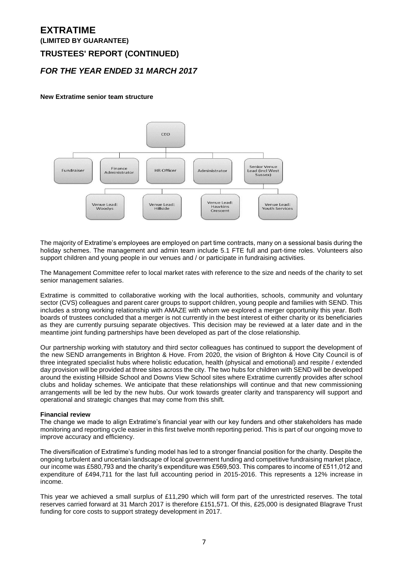### **(LIMITED BY GUARANTEE)**

### **TRUSTEES' REPORT (CONTINUED)**

### *FOR THE YEAR ENDED 31 MARCH 2017*

#### **New Extratime senior team structure**



The majority of Extratime's employees are employed on part time contracts, many on a sessional basis during the holiday schemes. The management and admin team include 5.1 FTE full and part-time roles. Volunteers also support children and young people in our venues and / or participate in fundraising activities.

The Management Committee refer to local market rates with reference to the size and needs of the charity to set senior management salaries.

Extratime is committed to collaborative working with the local authorities, schools, community and voluntary sector (CVS) colleagues and parent carer groups to support children, young people and families with SEND. This includes a strong working relationship with AMAZE with whom we explored a merger opportunity this year. Both boards of trustees concluded that a merger is not currently in the best interest of either charity or its beneficiaries as they are currently pursuing separate objectives. This decision may be reviewed at a later date and in the meantime joint funding partnerships have been developed as part of the close relationship.

Our partnership working with statutory and third sector colleagues has continued to support the development of the new SEND arrangements in Brighton & Hove. From 2020, the vision of Brighton & Hove City Council is of three integrated specialist hubs where holistic education, health (physical and emotional) and respite / extended day provision will be provided at three sites across the city. The two hubs for children with SEND will be developed around the existing Hillside School and Downs View School sites where Extratime currently provides after school clubs and holiday schemes. We anticipate that these relationships will continue and that new commissioning arrangements will be led by the new hubs. Our work towards greater clarity and transparency will support and operational and strategic changes that may come from this shift.

#### **Financial review**

The change we made to align Extratime's financial year with our key funders and other stakeholders has made monitoring and reporting cycle easier in this first twelve month reporting period. This is part of our ongoing move to improve accuracy and efficiency.

The diversification of Extratime's funding model has led to a stronger financial position for the charity. Despite the ongoing turbulent and uncertain landscape of local government funding and competitive fundraising market place, our income was £580,793 and the charity's expenditure was £569,503. This compares to income of £511,012 and expenditure of £494,711 for the last full accounting period in 2015-2016. This represents a 12% increase in income.

This year we achieved a small surplus of £11,290 which will form part of the unrestricted reserves. The total reserves carried forward at 31 March 2017 is therefore £151,571. Of this, £25,000 is designated Blagrave Trust funding for core costs to support strategy development in 2017.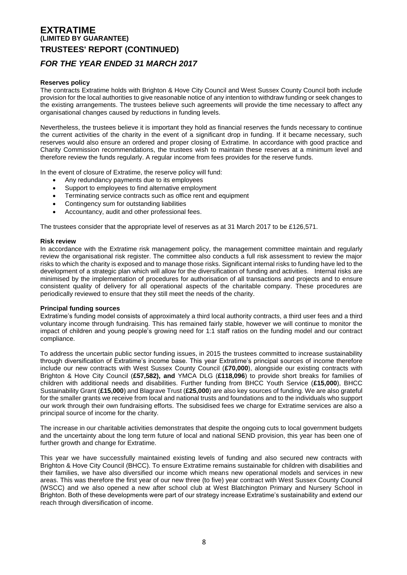# **EXTRATIME (LIMITED BY GUARANTEE) TRUSTEES' REPORT (CONTINUED)**

### *FOR THE YEAR ENDED 31 MARCH 2017*

#### **Reserves policy**

The contracts Extratime holds with Brighton & Hove City Council and West Sussex County Council both include provision for the local authorities to give reasonable notice of any intention to withdraw funding or seek changes to the existing arrangements. The trustees believe such agreements will provide the time necessary to affect any organisational changes caused by reductions in funding levels.

Nevertheless, the trustees believe it is important they hold as financial reserves the funds necessary to continue the current activities of the charity in the event of a significant drop in funding. If it became necessary, such reserves would also ensure an ordered and proper closing of Extratime. In accordance with good practice and Charity Commission recommendations, the trustees wish to maintain these reserves at a minimum level and therefore review the funds regularly. A regular income from fees provides for the reserve funds.

In the event of closure of Extratime, the reserve policy will fund:

- Any redundancy payments due to its employees
- Support to employees to find alternative employment
- Terminating service contracts such as office rent and equipment
- Contingency sum for outstanding liabilities
- Accountancy, audit and other professional fees.

The trustees consider that the appropriate level of reserves as at 31 March 2017 to be £126,571.

#### **Risk review**

In accordance with the Extratime risk management policy, the management committee maintain and regularly review the organisational risk register. The committee also conducts a full risk assessment to review the major risks to which the charity is exposed and to manage those risks. Significant internal risks to funding have led to the development of a strategic plan which will allow for the diversification of funding and activities. Internal risks are minimised by the implementation of procedures for authorisation of all transactions and projects and to ensure consistent quality of delivery for all operational aspects of the charitable company. These procedures are periodically reviewed to ensure that they still meet the needs of the charity.

#### **Principal funding sources**

Extratime's funding model consists of approximately a third local authority contracts, a third user fees and a third voluntary income through fundraising. This has remained fairly stable, however we will continue to monitor the impact of children and young people's growing need for 1:1 staff ratios on the funding model and our contract compliance.

To address the uncertain public sector funding issues, in 2015 the trustees committed to increase sustainability through diversification of Extratime's income base. This year Extratime's principal sources of income therefore include our new contracts with West Sussex County Council (**£70,000**), alongside our existing contracts with Brighton & Hove City Council (**£57,582), and** YMCA DLG (**£118,096**) to provide short breaks for families of children with additional needs and disabilities. Further funding from BHCC Youth Service (**£15,000**), BHCC Sustainability Grant (**£15,000**) and Blagrave Trust (**£25,000**) are also key sources of funding. We are also grateful for the smaller grants we receive from local and national trusts and foundations and to the individuals who support our work through their own fundraising efforts. The subsidised fees we charge for Extratime services are also a principal source of income for the charity.

The increase in our charitable activities demonstrates that despite the ongoing cuts to local government budgets and the uncertainty about the long term future of local and national SEND provision, this year has been one of further growth and change for Extratime.

This year we have successfully maintained existing levels of funding and also secured new contracts with Brighton & Hove City Council (BHCC). To ensure Extratime remains sustainable for children with disabilities and their families, we have also diversified our income which means new operational models and services in new areas. This was therefore the first year of our new three (to five) year contract with West Sussex County Council (WSCC) and we also opened a new after school club at West Blatchington Primary and Nursery School in Brighton. Both of these developments were part of our strategy increase Extratime's sustainability and extend our reach through diversification of income.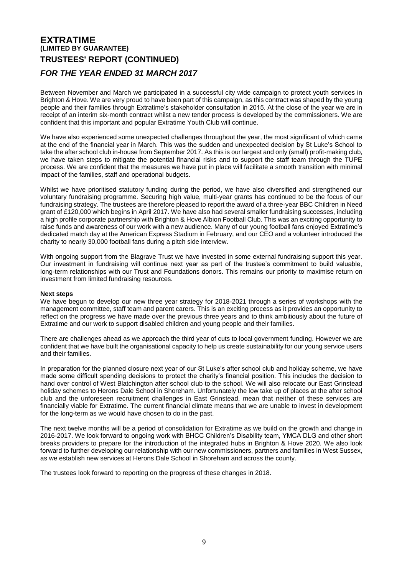# **EXTRATIME (LIMITED BY GUARANTEE) TRUSTEES' REPORT (CONTINUED)** *FOR THE YEAR ENDED 31 MARCH 2017*

Between November and March we participated in a successful city wide campaign to protect youth services in Brighton & Hove. We are very proud to have been part of this campaign, as this contract was shaped by the young people and their families through Extratime's stakeholder consultation in 2015. At the close of the year we are in receipt of an interim six-month contract whilst a new tender process is developed by the commissioners. We are confident that this important and popular Extratime Youth Club will continue.

We have also experienced some unexpected challenges throughout the year, the most significant of which came at the end of the financial year in March. This was the sudden and unexpected decision by St Luke's School to take the after school club in-house from September 2017. As this is our largest and only (small) profit-making club, we have taken steps to mitigate the potential financial risks and to support the staff team through the TUPE process. We are confident that the measures we have put in place will facilitate a smooth transition with minimal impact of the families, staff and operational budgets.

Whilst we have prioritised statutory funding during the period, we have also diversified and strengthened our voluntary fundraising programme. Securing high value, multi-year grants has continued to be the focus of our fundraising strategy. The trustees are therefore pleased to report the award of a three-year BBC Children in Need grant of £120,000 which begins in April 2017. We have also had several smaller fundraising successes, including a high profile corporate partnership with Brighton & Hove Albion Football Club. This was an exciting opportunity to raise funds and awareness of our work with a new audience. Many of our young football fans enjoyed Extratime's dedicated match day at the American Express Stadium in February, and our CEO and a volunteer introduced the charity to nearly 30,000 football fans during a pitch side interview.

With ongoing support from the Blagrave Trust we have invested in some external fundraising support this year. Our investment in fundraising will continue next year as part of the trustee's commitment to build valuable, long-term relationships with our Trust and Foundations donors. This remains our priority to maximise return on investment from limited fundraising resources.

#### **Next steps**

We have begun to develop our new three year strategy for 2018-2021 through a series of workshops with the management committee, staff team and parent carers. This is an exciting process as it provides an opportunity to reflect on the progress we have made over the previous three years and to think ambitiously about the future of Extratime and our work to support disabled children and young people and their families.

There are challenges ahead as we approach the third year of cuts to local government funding. However we are confident that we have built the organisational capacity to help us create sustainability for our young service users and their families.

In preparation for the planned closure next year of our St Luke's after school club and holiday scheme, we have made some difficult spending decisions to protect the charity's financial position. This includes the decision to hand over control of West Blatchington after school club to the school. We will also relocate our East Grinstead holiday schemes to Herons Dale School in Shoreham. Unfortunately the low take up of places at the after school club and the unforeseen recruitment challenges in East Grinstead, mean that neither of these services are financially viable for Extratime. The current financial climate means that we are unable to invest in development for the long-term as we would have chosen to do in the past.

The next twelve months will be a period of consolidation for Extratime as we build on the growth and change in 2016-2017. We look forward to ongoing work with BHCC Children's Disability team, YMCA DLG and other short breaks providers to prepare for the introduction of the integrated hubs in Brighton & Hove 2020. We also look forward to further developing our relationship with our new commissioners, partners and families in West Sussex, as we establish new services at Herons Dale School in Shoreham and across the county.

The trustees look forward to reporting on the progress of these changes in 2018.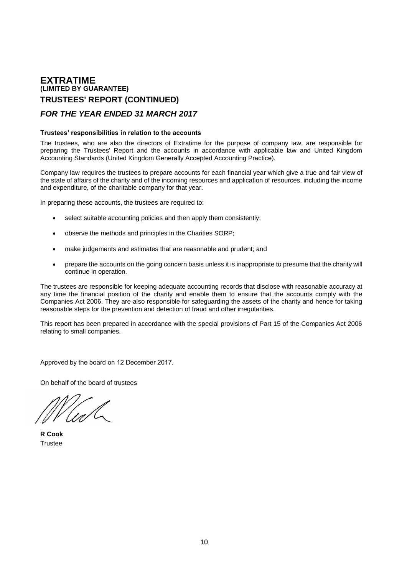### **EXTRATIME (LIMITED BY GUARANTEE) TRUSTEES' REPORT (CONTINUED)**

### *FOR THE YEAR ENDED 31 MARCH 2017*

#### **Trustees' responsibilities in relation to the accounts**

The trustees, who are also the directors of Extratime for the purpose of company law, are responsible for preparing the Trustees' Report and the accounts in accordance with applicable law and United Kingdom Accounting Standards (United Kingdom Generally Accepted Accounting Practice).

Company law requires the trustees to prepare accounts for each financial year which give a true and fair view of the state of affairs of the charity and of the incoming resources and application of resources, including the income and expenditure, of the charitable company for that year.

In preparing these accounts, the trustees are required to:

- select suitable accounting policies and then apply them consistently;
- observe the methods and principles in the Charities SORP;
- make judgements and estimates that are reasonable and prudent; and
- prepare the accounts on the going concern basis unless it is inappropriate to presume that the charity will continue in operation.

The trustees are responsible for keeping adequate accounting records that disclose with reasonable accuracy at any time the financial position of the charity and enable them to ensure that the accounts comply with the Companies Act 2006. They are also responsible for safeguarding the assets of the charity and hence for taking reasonable steps for the prevention and detection of fraud and other irregularities.

This report has been prepared in accordance with the special provisions of Part 15 of the Companies Act 2006 relating to small companies.

Approved by the board on 12 December 2017.

On behalf of the board of trustees

**R Cook Trustee**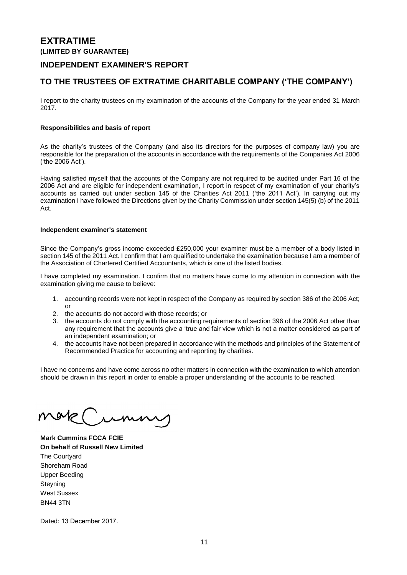**(LIMITED BY GUARANTEE)**

### **INDEPENDENT EXAMINER'S REPORT**

### **TO THE TRUSTEES OF EXTRATIME CHARITABLE COMPANY ('THE COMPANY')**

I report to the charity trustees on my examination of the accounts of the Company for the year ended 31 March 2017.

### **Responsibilities and basis of report**

As the charity's trustees of the Company (and also its directors for the purposes of company law) you are responsible for the preparation of the accounts in accordance with the requirements of the Companies Act 2006 ('the 2006 Act').

Having satisfied myself that the accounts of the Company are not required to be audited under Part 16 of the 2006 Act and are eligible for independent examination, I report in respect of my examination of your charity's accounts as carried out under section 145 of the Charities Act 2011 ('the 2011 Act'). In carrying out my examination I have followed the Directions given by the Charity Commission under section 145(5) (b) of the 2011 Act.

#### **Independent examiner's statement**

Since the Company's gross income exceeded £250,000 your examiner must be a member of a body listed in section 145 of the 2011 Act. I confirm that I am qualified to undertake the examination because I am a member of the Association of Chartered Certified Accountants, which is one of the listed bodies.

I have completed my examination. I confirm that no matters have come to my attention in connection with the examination giving me cause to believe:

- 1. accounting records were not kept in respect of the Company as required by section 386 of the 2006 Act; or
- 2. the accounts do not accord with those records; or
- 3. the accounts do not comply with the accounting requirements of section 396 of the 2006 Act other than any requirement that the accounts give a 'true and fair view which is not a matter considered as part of an independent examination; or
- 4. the accounts have not been prepared in accordance with the methods and principles of the Statement of Recommended Practice for accounting and reporting by charities.

I have no concerns and have come across no other matters in connection with the examination to which attention should be drawn in this report in order to enable a proper understanding of the accounts to be reached.

morp

**Mark Cummins FCCA FCIE On behalf of Russell New Limited** The Courtyard Shoreham Road Upper Beeding **Steyning** West Sussex BN44 3TN

Dated: 13 December 2017.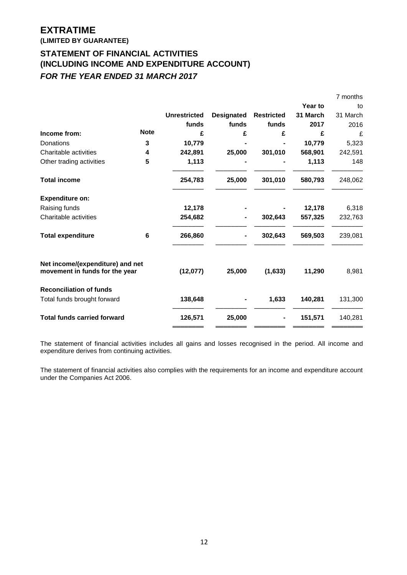### **(LIMITED BY GUARANTEE)**

# **STATEMENT OF FINANCIAL ACTIVITIES (INCLUDING INCOME AND EXPENDITURE ACCOUNT)** *FOR THE YEAR ENDED 31 MARCH 2017*

|                                                                    |             |                     |                   |                   |          | 7 months |
|--------------------------------------------------------------------|-------------|---------------------|-------------------|-------------------|----------|----------|
|                                                                    |             |                     |                   |                   | Year to  | to       |
|                                                                    |             | <b>Unrestricted</b> | <b>Designated</b> | <b>Restricted</b> | 31 March | 31 March |
|                                                                    |             | funds               | funds             | funds             | 2017     | 2016     |
| Income from:                                                       | <b>Note</b> | £                   | £                 | £                 | £        | £        |
| Donations                                                          | 3           | 10,779              |                   |                   | 10,779   | 5,323    |
| Charitable activities                                              | 4           | 242,891             | 25,000            | 301,010           | 568,901  | 242,591  |
| Other trading activities                                           | 5           | 1,113               |                   |                   | 1,113    | 148      |
| <b>Total income</b>                                                |             | 254,783             | 25,000            | 301,010           | 580,793  | 248,062  |
| <b>Expenditure on:</b>                                             |             |                     |                   |                   |          |          |
| Raising funds                                                      |             | 12,178              |                   |                   | 12,178   | 6,318    |
| Charitable activities                                              |             | 254,682             |                   | 302,643           | 557,325  | 232,763  |
| <b>Total expenditure</b>                                           | 6           | 266,860             |                   | 302,643           | 569,503  | 239,081  |
| Net income/(expenditure) and net<br>movement in funds for the year |             | (12,077)            | 25,000            | (1,633)           | 11,290   | 8,981    |
| <b>Reconciliation of funds</b>                                     |             |                     |                   |                   |          |          |
| Total funds brought forward                                        |             | 138,648             |                   | 1,633             | 140,281  | 131,300  |
| <b>Total funds carried forward</b>                                 |             | 126,571             | 25,000            |                   | 151,571  | 140,281  |
|                                                                    |             |                     |                   |                   |          |          |

The statement of financial activities includes all gains and losses recognised in the period. All income and expenditure derives from continuing activities.

The statement of financial activities also complies with the requirements for an income and expenditure account under the Companies Act 2006.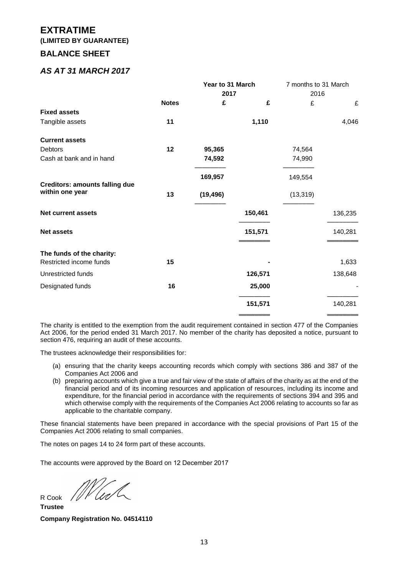### **(LIMITED BY GUARANTEE)**

### **BALANCE SHEET**

### *AS AT 31 MARCH 2017*

|                                       |              | Year to 31 March |         | 7 months to 31 March |           |
|---------------------------------------|--------------|------------------|---------|----------------------|-----------|
|                                       |              | 2017             |         | 2016                 |           |
|                                       | <b>Notes</b> | £                | £       | £                    | $\pounds$ |
| <b>Fixed assets</b>                   |              |                  |         |                      |           |
| Tangible assets                       | 11           |                  | 1,110   |                      | 4,046     |
| <b>Current assets</b>                 |              |                  |         |                      |           |
| Debtors                               | 12           | 95,365           |         | 74,564               |           |
| Cash at bank and in hand              |              | 74,592           |         | 74,990               |           |
|                                       |              | 169,957          |         | 149,554              |           |
| <b>Creditors: amounts falling due</b> |              |                  |         |                      |           |
| within one year                       | 13           | (19, 496)        |         | (13, 319)            |           |
| <b>Net current assets</b>             |              |                  | 150,461 |                      | 136,235   |
| <b>Net assets</b>                     |              |                  | 151,571 |                      | 140,281   |
| The funds of the charity:             |              |                  |         |                      |           |
| Restricted income funds               | 15           |                  |         |                      | 1,633     |
| Unrestricted funds                    |              |                  | 126,571 |                      | 138,648   |
| Designated funds                      | 16           |                  | 25,000  |                      |           |
|                                       |              |                  | 151,571 |                      | 140,281   |
|                                       |              |                  |         |                      |           |

The charity is entitled to the exemption from the audit requirement contained in section 477 of the Companies Act 2006, for the period ended 31 March 2017. No member of the charity has deposited a notice, pursuant to section 476, requiring an audit of these accounts.

The trustees acknowledge their responsibilities for:

- (a) ensuring that the charity keeps accounting records which comply with sections 386 and 387 of the Companies Act 2006 and
- (b) preparing accounts which give a true and fair view of the state of affairs of the charity as at the end of the financial period and of its incoming resources and application of resources, including its income and expenditure, for the financial period in accordance with the requirements of sections 394 and 395 and which otherwise comply with the requirements of the Companies Act 2006 relating to accounts so far as applicable to the charitable company.

These financial statements have been prepared in accordance with the special provisions of Part 15 of the Companies Act 2006 relating to small companies.

The notes on pages 14 to 24 form part of these accounts.

The accounts were approved by the Board on 12 December 2017

R Cook **Trustee Company Registration No. 04514110**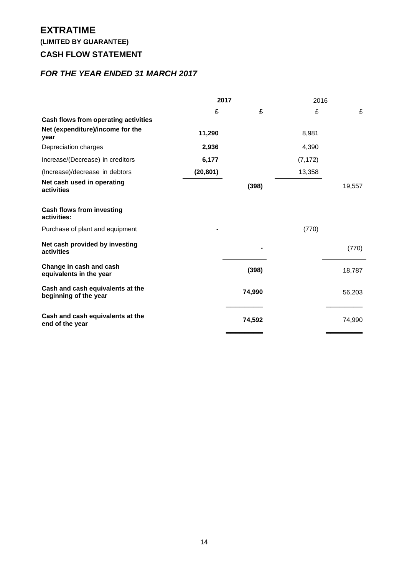# **(LIMITED BY GUARANTEE)**

# **CASH FLOW STATEMENT**

# *FOR THE YEAR ENDED 31 MARCH 2017*

|           |        | 2016     |        |
|-----------|--------|----------|--------|
| £         | £      | £        | £      |
|           |        |          |        |
| 11,290    |        | 8,981    |        |
| 2,936     |        | 4,390    |        |
| 6,177     |        | (7, 172) |        |
| (20, 801) |        | 13,358   |        |
|           | (398)  |          | 19,557 |
|           |        |          |        |
|           |        | (770)    |        |
|           |        |          | (770)  |
|           | (398)  |          | 18,787 |
|           | 74,990 |          | 56,203 |
|           | 74,592 |          | 74,990 |
|           |        | 2017     |        |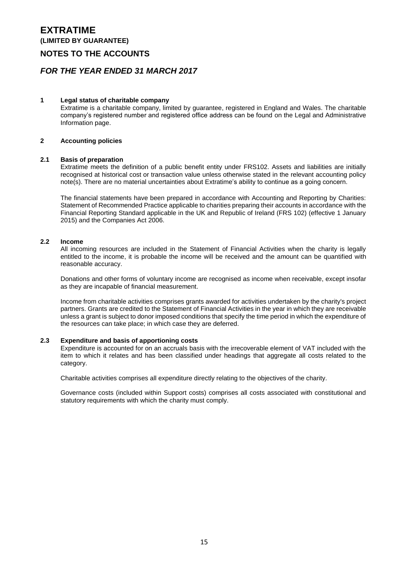### **(LIMITED BY GUARANTEE)**

### **NOTES TO THE ACCOUNTS**

### *FOR THE YEAR ENDED 31 MARCH 2017*

#### **1 Legal status of charitable company**

Extratime is a charitable company, limited by guarantee, registered in England and Wales. The charitable company's registered number and registered office address can be found on the Legal and Administrative Information page.

### **2 Accounting policies**

#### **2.1 Basis of preparation**

Extratime meets the definition of a public benefit entity under FRS102. Assets and liabilities are initially recognised at historical cost or transaction value unless otherwise stated in the relevant accounting policy note(s). There are no material uncertainties about Extratime's ability to continue as a going concern.

The financial statements have been prepared in accordance with Accounting and Reporting by Charities: Statement of Recommended Practice applicable to charities preparing their accounts in accordance with the Financial Reporting Standard applicable in the UK and Republic of Ireland (FRS 102) (effective 1 January 2015) and the Companies Act 2006.

#### **2.2 Income**

All incoming resources are included in the Statement of Financial Activities when the charity is legally entitled to the income, it is probable the income will be received and the amount can be quantified with reasonable accuracy.

Donations and other forms of voluntary income are recognised as income when receivable, except insofar as they are incapable of financial measurement.

Income from charitable activities comprises grants awarded for activities undertaken by the charity's project partners. Grants are credited to the Statement of Financial Activities in the year in which they are receivable unless a grant is subject to donor imposed conditions that specify the time period in which the expenditure of the resources can take place; in which case they are deferred.

#### **2.3 Expenditure and basis of apportioning costs**

Expenditure is accounted for on an accruals basis with the irrecoverable element of VAT included with the item to which it relates and has been classified under headings that aggregate all costs related to the category.

Charitable activities comprises all expenditure directly relating to the objectives of the charity.

Governance costs (included within Support costs) comprises all costs associated with constitutional and statutory requirements with which the charity must comply.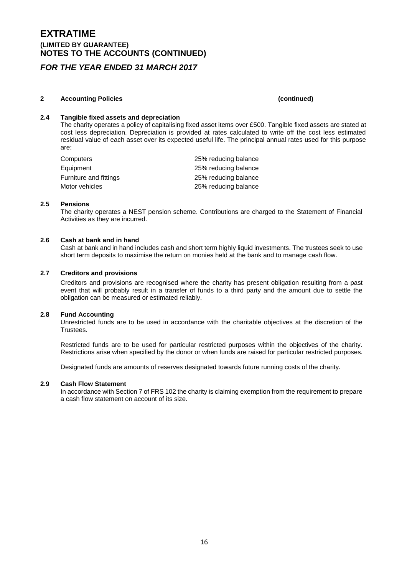### **EXTRATIME (LIMITED BY GUARANTEE) NOTES TO THE ACCOUNTS (CONTINUED)**

### *FOR THE YEAR ENDED 31 MARCH 2017*

### **2 Accounting Policies (continued)**

#### **2.4 Tangible fixed assets and depreciation**

The charity operates a policy of capitalising fixed asset items over £500. Tangible fixed assets are stated at cost less depreciation. Depreciation is provided at rates calculated to write off the cost less estimated residual value of each asset over its expected useful life. The principal annual rates used for this purpose are:

| Computers              | 25% reducing balance |
|------------------------|----------------------|
| Equipment              | 25% reducing balance |
| Furniture and fittings | 25% reducing balance |
| Motor vehicles         | 25% reducing balance |

#### **2.5 Pensions**

The charity operates a NEST pension scheme. Contributions are charged to the Statement of Financial Activities as they are incurred.

#### **2.6 Cash at bank and in hand**

Cash at bank and in hand includes cash and short term highly liquid investments. The trustees seek to use short term deposits to maximise the return on monies held at the bank and to manage cash flow.

### **2.7 Creditors and provisions**

Creditors and provisions are recognised where the charity has present obligation resulting from a past event that will probably result in a transfer of funds to a third party and the amount due to settle the obligation can be measured or estimated reliably.

#### **2.8 Fund Accounting**

Unrestricted funds are to be used in accordance with the charitable objectives at the discretion of the Trustees.

Restricted funds are to be used for particular restricted purposes within the objectives of the charity. Restrictions arise when specified by the donor or when funds are raised for particular restricted purposes.

Designated funds are amounts of reserves designated towards future running costs of the charity.

#### **2.9 Cash Flow Statement**

In accordance with Section 7 of FRS 102 the charity is claiming exemption from the requirement to prepare a cash flow statement on account of its size.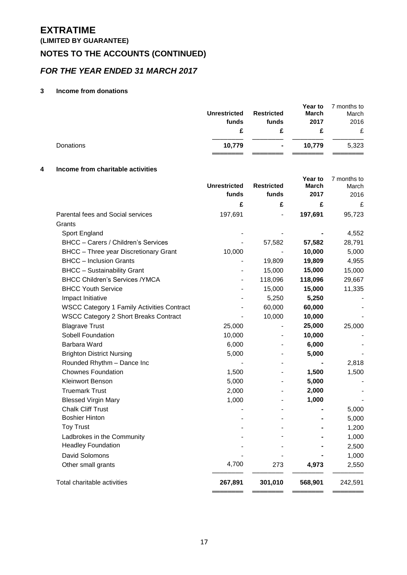### **(LIMITED BY GUARANTEE)**

# **NOTES TO THE ACCOUNTS (CONTINUED)**

# *FOR THE YEAR ENDED 31 MARCH 2017*

### **3 Income from donations**

|           | <b>Unrestricted</b><br>funds | <b>Restricted</b><br>funds | Year to<br><b>March</b><br>2017 | 7 months to<br>March<br>2016<br>£ |
|-----------|------------------------------|----------------------------|---------------------------------|-----------------------------------|
| Donations | 10,779                       | ۰                          | 10,779                          | 5,323                             |

### **4 Income from charitable activities**

|                                                   | <b>Unrestricted</b>      | <b>Restricted</b> | <b>Year to</b><br>March | 7 months to<br>March |
|---------------------------------------------------|--------------------------|-------------------|-------------------------|----------------------|
|                                                   | funds                    | funds             | 2017                    | 2016                 |
|                                                   | £                        | £                 | £                       | £                    |
| Parental fees and Social services                 | 197,691                  |                   | 197,691                 | 95,723               |
| Grants                                            |                          |                   |                         |                      |
| Sport England                                     |                          |                   |                         | 4,552                |
| BHCC - Carers / Children's Services               |                          | 57,582            | 57,582                  | 28,791               |
| <b>BHCC</b> - Three year Discretionary Grant      | 10,000                   |                   | 10,000                  | 5,000                |
| <b>BHCC</b> - Inclusion Grants                    |                          | 19,809            | 19,809                  | 4,955                |
| <b>BHCC</b> - Sustainability Grant                |                          | 15,000            | 15,000                  | 15,000               |
| <b>BHCC Children's Services /YMCA</b>             | $\overline{\phantom{0}}$ | 118,096           | 118,096                 | 29,667               |
| <b>BHCC Youth Service</b>                         |                          | 15,000            | 15,000                  | 11,335               |
| Impact Initiative                                 |                          | 5,250             | 5,250                   |                      |
| <b>WSCC Category 1 Family Activities Contract</b> |                          | 60,000            | 60,000                  |                      |
| <b>WSCC Category 2 Short Breaks Contract</b>      |                          | 10,000            | 10,000                  |                      |
| <b>Blagrave Trust</b>                             | 25,000                   |                   | 25,000                  | 25,000               |
| Sobell Foundation                                 | 10,000                   |                   | 10,000                  |                      |
| Barbara Ward                                      | 6,000                    |                   | 6,000                   |                      |
| <b>Brighton District Nursing</b>                  | 5,000                    |                   | 5,000                   |                      |
| Rounded Rhythm - Dance Inc                        |                          |                   |                         | 2,818                |
| <b>Chownes Foundation</b>                         | 1,500                    |                   | 1,500                   | 1,500                |
| <b>Kleinwort Benson</b>                           | 5,000                    | $\blacksquare$    | 5,000                   |                      |
| <b>Truemark Trust</b>                             | 2,000                    |                   | 2,000                   |                      |
| <b>Blessed Virgin Mary</b>                        | 1,000                    |                   | 1,000                   |                      |
| <b>Chalk Cliff Trust</b>                          |                          |                   |                         | 5,000                |
| <b>Boshier Hinton</b>                             |                          |                   |                         | 5,000                |
| <b>Toy Trust</b>                                  |                          |                   |                         | 1,200                |
| Ladbrokes in the Community                        |                          |                   |                         | 1,000                |
| <b>Headley Foundation</b>                         |                          |                   |                         | 2,500                |
| David Solomons                                    |                          |                   |                         | 1,000                |
| Other small grants                                | 4,700                    | 273               | 4,973                   | 2,550                |
| Total charitable activities                       | 267,891                  | 301,010           | 568,901                 | 242,591              |
|                                                   |                          |                   |                         |                      |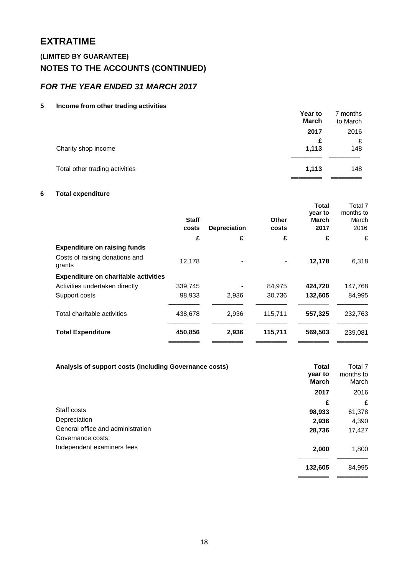**(LIMITED BY GUARANTEE)**

# **NOTES TO THE ACCOUNTS (CONTINUED)**

# *FOR THE YEAR ENDED 31 MARCH 2017*

**5 Income from other trading activities**

| <b>INTERNATIONAL CONTRACTOR</b> CONTRACTOR | Year to<br><b>March</b> | 7 months<br>to March |
|--------------------------------------------|-------------------------|----------------------|
|                                            | 2017                    | 2016                 |
|                                            | £                       | £                    |
| Charity shop income                        | 1,113                   | 148                  |
| Total other trading activities             | 1,113                   | 148                  |
|                                            |                         |                      |
|                                            |                         |                      |

### **6 Total expenditure**

|                                             | <b>Staff</b><br>costs<br>£ | <b>Depreciation</b><br>£ | Other<br>costs<br>£ | <b>Total</b><br>year to<br>March<br>2017<br>£ | Total 7<br>months to<br>March<br>2016<br>£ |
|---------------------------------------------|----------------------------|--------------------------|---------------------|-----------------------------------------------|--------------------------------------------|
| <b>Expenditure on raising funds</b>         |                            |                          |                     |                                               |                                            |
| Costs of raising donations and<br>grants    | 12,178                     |                          |                     | 12,178                                        | 6,318                                      |
| <b>Expenditure on charitable activities</b> |                            |                          |                     |                                               |                                            |
| Activities undertaken directly              | 339,745                    |                          | 84,975              | 424,720                                       | 147,768                                    |
| Support costs                               | 98,933                     | 2,936                    | 30,736              | 132,605                                       | 84.995                                     |
| Total charitable activities                 | 438,678                    | 2,936                    | 115,711             | 557,325                                       | 232,763                                    |
| <b>Total Expenditure</b>                    | 450,856                    | 2,936                    | 115,711             | 569,503                                       | 239,081                                    |
|                                             |                            |                          |                     |                                               |                                            |

| Analysis of support costs (including Governance costs) | <b>Total</b> | Total 7   |
|--------------------------------------------------------|--------------|-----------|
|                                                        | year to      | months to |
|                                                        | <b>March</b> | March     |
|                                                        | 2017         | 2016      |
|                                                        | £            | £         |
| Staff costs                                            | 98,933       | 61,378    |
| Depreciation                                           | 2,936        | 4,390     |
| General office and administration                      | 28,736       | 17,427    |
| Governance costs:                                      |              |           |
| Independent examiners fees                             | 2,000        | 1,800     |
|                                                        | 132,605      | 84,995    |
|                                                        |              |           |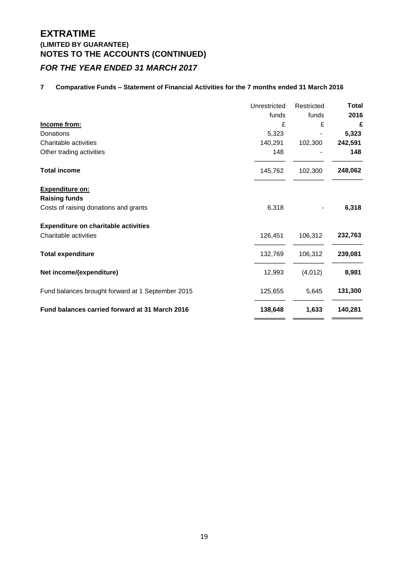# **EXTRATIME (LIMITED BY GUARANTEE) NOTES TO THE ACCOUNTS (CONTINUED)** *FOR THE YEAR ENDED 31 MARCH 2017*

### **7 Comparative Funds – Statement of Financial Activities for the 7 months ended 31 March 2016**

|                                                   | Unrestricted | Restricted | Total   |
|---------------------------------------------------|--------------|------------|---------|
|                                                   | funds        | funds      | 2016    |
| Income from:                                      | £            | £          | £       |
| Donations                                         | 5,323        |            | 5,323   |
| Charitable activities                             | 140,291      | 102,300    | 242,591 |
| Other trading activities                          | 148          |            | 148     |
| <b>Total income</b>                               | 145,762      | 102,300    | 248,062 |
| <b>Expenditure on:</b>                            |              |            |         |
| <b>Raising funds</b>                              |              |            |         |
| Costs of raising donations and grants             | 6,318        |            | 6,318   |
| <b>Expenditure on charitable activities</b>       |              |            |         |
| Charitable activities                             | 126,451      | 106,312    | 232,763 |
| <b>Total expenditure</b>                          | 132,769      | 106,312    | 239,081 |
| Net income/(expenditure)                          | 12,993       | (4,012)    | 8,981   |
| Fund balances brought forward at 1 September 2015 | 125,655      | 5,645      | 131,300 |
| Fund balances carried forward at 31 March 2016    | 138,648      | 1,633      | 140,281 |
|                                                   |              |            |         |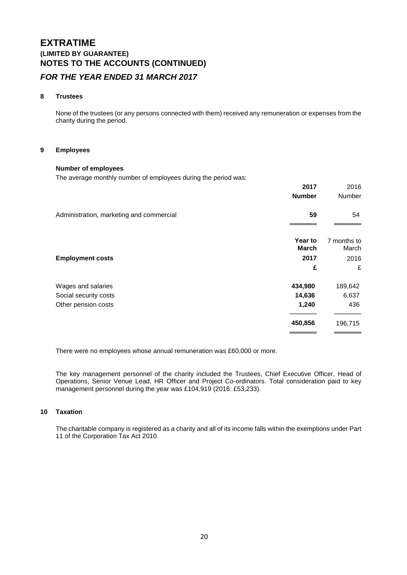# **EXTRATIME (LIMITED BY GUARANTEE) NOTES TO THE ACCOUNTS (CONTINUED)** *FOR THE YEAR ENDED 31 MARCH 2017*

### **8 Trustees**

None of the trustees (or any persons connected with them) received any remuneration or expenses from the charity during the period.

#### **9 Employees**

#### **Number of employees**

The average monthly number of employees during the period was:

|                                          | 2017<br><b>Number</b>   | 2016<br>Number       |
|------------------------------------------|-------------------------|----------------------|
| Administration, marketing and commercial | 59                      | 54                   |
|                                          | Year to<br><b>March</b> | 7 months to<br>March |
| <b>Employment costs</b>                  | 2017                    | 2016                 |
|                                          | £                       | £                    |
| Wages and salaries                       | 434,980                 | 189,642              |
| Social security costs                    | 14,636                  | 6,637                |
| Other pension costs                      | 1,240                   | 436                  |
|                                          | 450,856                 | 196,715              |
|                                          |                         |                      |

There were no employees whose annual remuneration was £60,000 or more.

The key management personnel of the charity included the Trustees, Chief Executive Officer, Head of Operations, Senior Venue Lead, HR Officer and Project Co-ordinators. Total consideration paid to key management personnel during the year was £104,919 (2016: £53,233).

#### **10 Taxation**

The charitable company is registered as a charity and all of its income falls within the exemptions under Part 11 of the Corporation Tax Act 2010.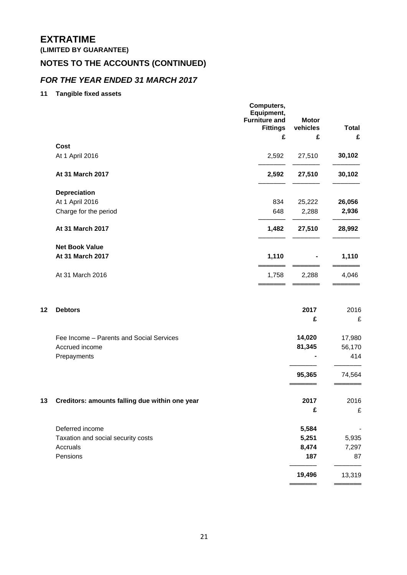**(LIMITED BY GUARANTEE)**

# **NOTES TO THE ACCOUNTS (CONTINUED)**

### *FOR THE YEAR ENDED 31 MARCH 2017*

### **11 Tangible fixed assets**

|    |                                                | Computers,<br>Equipment,<br><b>Furniture and</b><br><b>Fittings</b><br>£ | <b>Motor</b><br>vehicles<br>£ | <b>Total</b><br>£ |
|----|------------------------------------------------|--------------------------------------------------------------------------|-------------------------------|-------------------|
|    | Cost                                           |                                                                          |                               |                   |
|    | At 1 April 2016                                | 2,592                                                                    | 27,510                        | 30,102            |
|    | At 31 March 2017                               | 2,592                                                                    | 27,510                        | 30,102            |
|    | <b>Depreciation</b>                            |                                                                          |                               |                   |
|    | At 1 April 2016                                | 834                                                                      | 25,222                        | 26,056            |
|    | Charge for the period                          | 648                                                                      | 2,288                         | 2,936             |
|    | At 31 March 2017                               | 1,482                                                                    | 27,510                        | 28,992            |
|    | <b>Net Book Value</b><br>At 31 March 2017      | 1,110                                                                    |                               | 1,110             |
|    | At 31 March 2016                               | 1,758                                                                    | 2,288                         | 4,046             |
| 12 | <b>Debtors</b>                                 |                                                                          | 2017<br>£                     | 2016<br>£         |
|    | Fee Income - Parents and Social Services       |                                                                          | 14,020                        | 17,980            |
|    | Accrued income                                 |                                                                          | 81,345                        | 56,170            |
|    | Prepayments                                    |                                                                          |                               | 414               |
|    |                                                |                                                                          | 95,365                        | 74,564            |
| 13 | Creditors: amounts falling due within one year |                                                                          | 2017                          | 2016              |
|    |                                                |                                                                          | £                             | £                 |
|    | Deferred income                                |                                                                          | 5,584                         |                   |
|    | Taxation and social security costs             |                                                                          | 5,251                         | 5,935             |
|    | Accruals                                       |                                                                          | 8,474                         | 7,297             |
|    | Pensions                                       |                                                                          | 187                           | 87                |
|    |                                                |                                                                          | 19,496                        | 13,319            |
|    |                                                |                                                                          |                               |                   |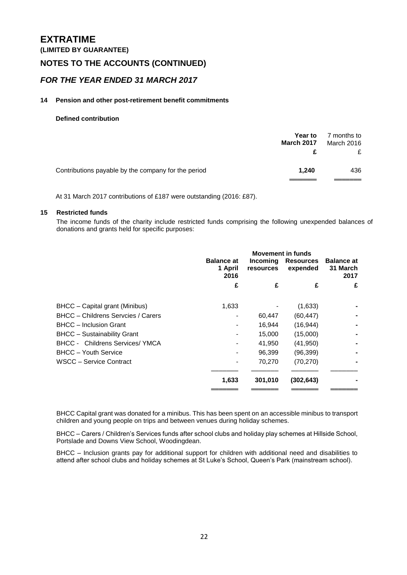**(LIMITED BY GUARANTEE)**

### **NOTES TO THE ACCOUNTS (CONTINUED)**

### *FOR THE YEAR ENDED 31 MARCH 2017*

### **14 Pension and other post-retirement benefit commitments**

### **Defined contribution**

| <b>March 2017</b>                                   | <b>Year to</b> | 7 months to<br>March 2016 |
|-----------------------------------------------------|----------------|---------------------------|
|                                                     |                |                           |
| Contributions payable by the company for the period | 1.240          | 436                       |

At 31 March 2017 contributions of £187 were outstanding (2016: £87).

### **15 Restricted funds**

The income funds of the charity include restricted funds comprising the following unexpended balances of donations and grants held for specific purposes:

|                                        | <b>Movement in funds</b>             |                              |                              |                                       |
|----------------------------------------|--------------------------------------|------------------------------|------------------------------|---------------------------------------|
|                                        | <b>Balance at</b><br>1 April<br>2016 | <b>Incoming</b><br>resources | <b>Resources</b><br>expended | <b>Balance at</b><br>31 March<br>2017 |
|                                        | £                                    | £                            | £                            | £                                     |
|                                        |                                      |                              |                              |                                       |
| BHCC - Capital grant (Minibus)         | 1,633                                |                              | (1,633)                      |                                       |
| BHCC - Childrens Servcies / Carers     |                                      | 60,447                       | (60, 447)                    |                                       |
| <b>BHCC</b> – Inclusion Grant          |                                      | 16,944                       | (16, 944)                    |                                       |
| <b>BHCC</b> – Sustainability Grant     |                                      | 15,000                       | (15,000)                     |                                       |
| <b>BHCC - Childrens Services/ YMCA</b> |                                      | 41,950                       | (41,950)                     |                                       |
| <b>BHCC</b> – Youth Service            |                                      | 96,399                       | (96, 399)                    |                                       |
| WSCC - Service Contract                | -                                    | 70,270                       | (70, 270)                    |                                       |
|                                        | 1,633                                | 301,010                      | (302, 643)                   |                                       |
|                                        |                                      |                              |                              |                                       |

BHCC Capital grant was donated for a minibus. This has been spent on an accessible minibus to transport children and young people on trips and between venues during holiday schemes.

BHCC – Carers / Children's Services funds after school clubs and holiday play schemes at Hillside School, Portslade and Downs View School, Woodingdean.

BHCC – Inclusion grants pay for additional support for children with additional need and disabilities to attend after school clubs and holiday schemes at St Luke's School, Queen's Park (mainstream school).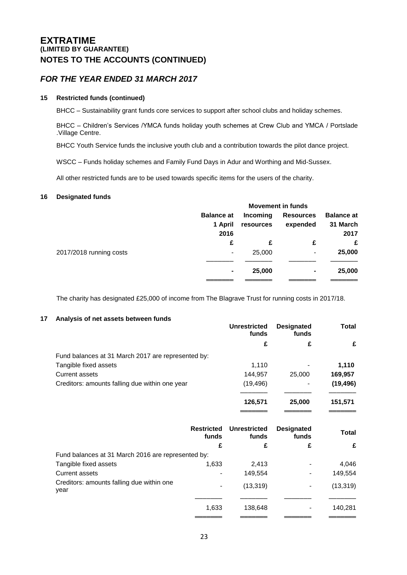### **EXTRATIME (LIMITED BY GUARANTEE) NOTES TO THE ACCOUNTS (CONTINUED)**

### *FOR THE YEAR ENDED 31 MARCH 2017*

### **15 Restricted funds (continued)**

BHCC – Sustainability grant funds core services to support after school clubs and holiday schemes.

BHCC – Children's Services /YMCA funds holiday youth schemes at Crew Club and YMCA / Portslade .Village Centre.

BHCC Youth Service funds the inclusive youth club and a contribution towards the pilot dance project.

WSCC – Funds holiday schemes and Family Fund Days in Adur and Worthing and Mid-Sussex.

All other restricted funds are to be used towards specific items for the users of the charity.

#### **16 Designated funds**

|                         | <b>Movement in funds</b> |           |                  |                   |
|-------------------------|--------------------------|-----------|------------------|-------------------|
|                         | <b>Balance at</b>        | Incoming  | <b>Resources</b> | <b>Balance at</b> |
|                         | 1 April                  | resources | expended         | 31 March          |
|                         | 2016                     |           |                  | 2017              |
|                         | £                        | £         | £                | £                 |
| 2017/2018 running costs | $\overline{\phantom{a}}$ | 25,000    | $\blacksquare$   | 25,000            |
|                         |                          |           |                  |                   |
|                         | ۰                        | 25,000    | ٠                | 25,000            |
|                         |                          |           |                  |                   |
|                         |                          |           |                  |                   |

The charity has designated £25,000 of income from The Blagrave Trust for running costs in 2017/18.

### **17 Analysis of net assets between funds**

|                                                    | <b>Unrestricted</b><br>funds<br>£ |                |           |  |  | <b>Designated</b><br>funds | Total |
|----------------------------------------------------|-----------------------------------|----------------|-----------|--|--|----------------------------|-------|
|                                                    |                                   | £              | £         |  |  |                            |       |
| Fund balances at 31 March 2017 are represented by: |                                   |                |           |  |  |                            |       |
| Tangible fixed assets                              | 1.110                             | $\,$           | 1.110     |  |  |                            |       |
| <b>Current assets</b>                              | 144,957                           | 25,000         | 169.957   |  |  |                            |       |
| Creditors: amounts falling due within one year     | (19, 496)                         | $\blacksquare$ | (19, 496) |  |  |                            |       |
|                                                    | 126.571                           | 25,000         | 151.571   |  |  |                            |       |

═══════ ═══════ ═══════

|                                                    | <b>Restricted</b><br>funds | <b>Unrestricted</b><br>funds | <b>Designated</b><br>funds | <b>Total</b> |
|----------------------------------------------------|----------------------------|------------------------------|----------------------------|--------------|
|                                                    | £                          | £                            | £                          | £            |
| Fund balances at 31 March 2016 are represented by: |                            |                              |                            |              |
| Tangible fixed assets                              | 1,633                      | 2,413                        |                            | 4,046        |
| Current assets                                     |                            | 149,554                      |                            | 149,554      |
| Creditors: amounts falling due within one<br>year  |                            | (13, 319)                    |                            | (13, 319)    |
|                                                    |                            |                              |                            |              |
|                                                    | 1,633                      | 138,648                      |                            | 140,281      |
|                                                    |                            |                              |                            |              |